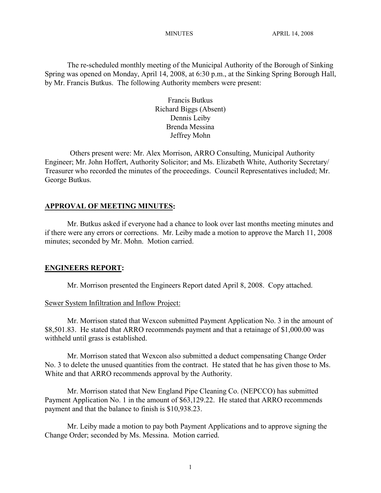The re-scheduled monthly meeting of the Municipal Authority of the Borough of Sinking Spring was opened on Monday, April 14, 2008, at 6:30 p.m., at the Sinking Spring Borough Hall, by Mr. Francis Butkus. The following Authority members were present:

> Francis Butkus Richard Biggs (Absent) Dennis Leiby Brenda Messina Jeffrey Mohn

Others present were: Mr. Alex Morrison, ARRO Consulting, Municipal Authority Engineer; Mr. John Hoffert, Authority Solicitor; and Ms. Elizabeth White, Authority Secretary/ Treasurer who recorded the minutes of the proceedings. Council Representatives included; Mr. George Butkus.

#### **APPROVAL OF MEETING MINUTES:**

Mr. Butkus asked if everyone had a chance to look over last months meeting minutes and if there were any errors or corrections. Mr. Leiby made a motion to approve the March 11, 2008 minutes; seconded by Mr. Mohn. Motion carried.

#### **ENGINEERS REPORT:**

Mr. Morrison presented the Engineers Report dated April 8, 2008. Copy attached.

#### Sewer System Infiltration and Inflow Project:

Mr. Morrison stated that Wexcon submitted Payment Application No. 3 in the amount of \$8,501.83. He stated that ARRO recommends payment and that a retainage of \$1,000.00 was withheld until grass is established.

Mr. Morrison stated that Wexcon also submitted a deduct compensating Change Order No. 3 to delete the unused quantities from the contract. He stated that he has given those to Ms. White and that ARRO recommends approval by the Authority.

Mr. Morrison stated that New England Pipe Cleaning Co. (NEPCCO) has submitted Payment Application No. 1 in the amount of \$63,129.22. He stated that ARRO recommends payment and that the balance to finish is \$10,938.23.

Mr. Leiby made a motion to pay both Payment Applications and to approve signing the Change Order; seconded by Ms. Messina. Motion carried.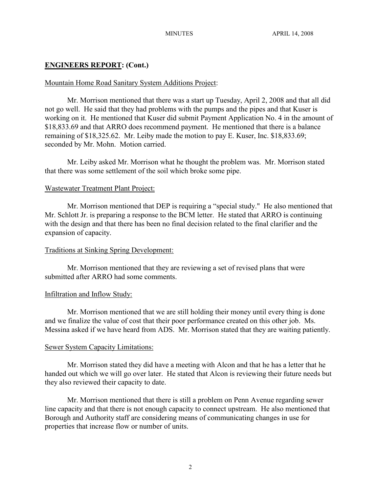# **ENGINEERS REPORT: (Cont.)**

# Mountain Home Road Sanitary System Additions Project:

Mr. Morrison mentioned that there was a start up Tuesday, April 2, 2008 and that all did not go well. He said that they had problems with the pumps and the pipes and that Kuser is working on it. He mentioned that Kuser did submit Payment Application No. 4 in the amount of \$18,833.69 and that ARRO does recommend payment. He mentioned that there is a balance remaining of \$18,325.62. Mr. Leiby made the motion to pay E. Kuser, Inc. \$18,833.69; seconded by Mr. Mohn. Motion carried.

Mr. Leiby asked Mr. Morrison what he thought the problem was. Mr. Morrison stated that there was some settlement of the soil which broke some pipe.

# Wastewater Treatment Plant Project:

Mr. Morrison mentioned that DEP is requiring a "special study." He also mentioned that Mr. Schlott Jr. is preparing a response to the BCM letter. He stated that ARRO is continuing with the design and that there has been no final decision related to the final clarifier and the expansion of capacity.

## Traditions at Sinking Spring Development:

Mr. Morrison mentioned that they are reviewing a set of revised plans that were submitted after ARRO had some comments.

## Infiltration and Inflow Study:

Mr. Morrison mentioned that we are still holding their money until every thing is done and we finalize the value of cost that their poor performance created on this other job. Ms. Messina asked if we have heard from ADS. Mr. Morrison stated that they are waiting patiently.

# Sewer System Capacity Limitations:

Mr. Morrison stated they did have a meeting with Alcon and that he has a letter that he handed out which we will go over later. He stated that Alcon is reviewing their future needs but they also reviewed their capacity to date.

Mr. Morrison mentioned that there is still a problem on Penn Avenue regarding sewer line capacity and that there is not enough capacity to connect upstream. He also mentioned that Borough and Authority staff are considering means of communicating changes in use for properties that increase flow or number of units.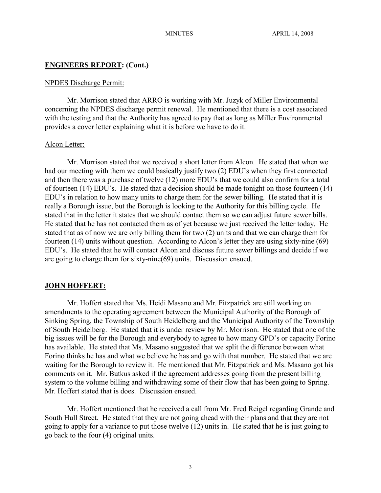#### **ENGINEERS REPORT: (Cont.)**

#### NPDES Discharge Permit:

Mr. Morrison stated that ARRO is working with Mr. Juzyk of Miller Environmental concerning the NPDES discharge permit renewal. He mentioned that there is a cost associated with the testing and that the Authority has agreed to pay that as long as Miller Environmental provides a cover letter explaining what it is before we have to do it.

#### Alcon Letter:

Mr. Morrison stated that we received a short letter from Alcon. He stated that when we had our meeting with them we could basically justify two (2) EDU's when they first connected and then there was a purchase of twelve (12) more EDU's that we could also confirm for a total of fourteen (14) EDU's. He stated that a decision should be made tonight on those fourteen (14) EDU's in relation to how many units to charge them for the sewer billing. He stated that it is really a Borough issue, but the Borough is looking to the Authority for this billing cycle. He stated that in the letter it states that we should contact them so we can adjust future sewer bills. He stated that he has not contacted them as of yet because we just received the letter today. He stated that as of now we are only billing them for two (2) units and that we can charge them for fourteen (14) units without question. According to Alcon's letter they are using sixty-nine (69) EDU's. He stated that he will contact Alcon and discuss future sewer billings and decide if we are going to charge them for sixty-nine(69) units. Discussion ensued.

#### **JOHN HOFFERT:**

Mr. Hoffert stated that Ms. Heidi Masano and Mr. Fitzpatrick are still working on amendments to the operating agreement between the Municipal Authority of the Borough of Sinking Spring, the Township of South Heidelberg and the Municipal Authority of the Township of South Heidelberg. He stated that it is under review by Mr. Morrison. He stated that one of the big issues will be for the Borough and everybody to agree to how many GPD's or capacity Forino has available. He stated that Ms. Masano suggested that we split the difference between what Forino thinks he has and what we believe he has and go with that number. He stated that we are waiting for the Borough to review it. He mentioned that Mr. Fitzpatrick and Ms. Masano got his comments on it. Mr. Butkus asked if the agreement addresses going from the present billing system to the volume billing and withdrawing some of their flow that has been going to Spring. Mr. Hoffert stated that is does. Discussion ensued.

Mr. Hoffert mentioned that he received a call from Mr. Fred Reigel regarding Grande and South Hull Street. He stated that they are not going ahead with their plans and that they are not going to apply for a variance to put those twelve (12) units in. He stated that he is just going to go back to the four (4) original units.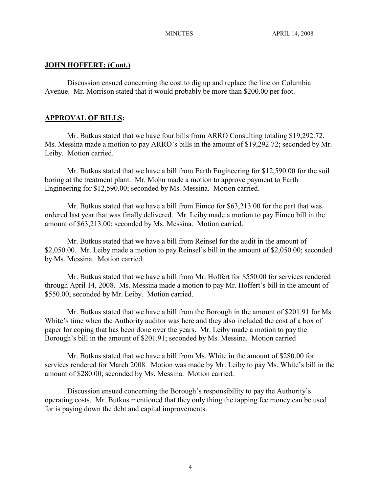## **JOHN HOFFERT: (Cont.)**

Discussion ensued concerning the cost to dig up and replace the line on Columbia Avenue. Mr. Morrison stated that it would probably be more than \$200.00 per foot.

# **APPROVAL OF BILLS:**

Mr. Butkus stated that we have four bills from ARRO Consulting totaling \$19,292.72. Ms. Messina made a motion to pay ARRO's bills in the amount of \$19,292.72; seconded by Mr. Leiby. Motion carried.

Mr. Butkus stated that we have a bill from Earth Engineering for \$12,590.00 for the soil boring at the treatment plant. Mr. Mohn made a motion to approve payment to Earth Engineering for \$12,590.00; seconded by Ms. Messina. Motion carried.

Mr. Butkus stated that we have a bill from Eimco for \$63,213.00 for the part that was ordered last year that was finally delivered. Mr. Leiby made a motion to pay Eimco bill in the amount of \$63,213.00; seconded by Ms. Messina. Motion carried.

Mr. Butkus stated that we have a bill from Reinsel for the audit in the amount of \$2,050.00. Mr. Leiby made a motion to pay Reinsel's bill in the amount of \$2,050.00; seconded by Ms. Messina. Motion carried.

Mr. Butkus stated that we have a bill from Mr. Hoffert for \$550.00 for services rendered through April 14, 2008. Ms. Messina made a motion to pay Mr. Hoffert's bill in the amount of \$550.00; seconded by Mr. Leiby. Motion carried.

Mr. Butkus stated that we have a bill from the Borough in the amount of \$201.91 for Ms. White's time when the Authority auditor was here and they also included the cost of a box of paper for coping that has been done over the years. Mr. Leiby made a motion to pay the Borough's bill in the amount of \$201.91; seconded by Ms. Messina. Motion carried

Mr. Butkus stated that we have a bill from Ms. White in the amount of \$280.00 for services rendered for March 2008. Motion was made by Mr. Leiby to pay Ms. White's bill in the amount of \$280.00; seconded by Ms. Messina. Motion carried.

Discussion ensued concerning the Borough's responsibility to pay the Authority's operating costs. Mr. Butkus mentioned that they only thing the tapping fee money can be used for is paying down the debt and capital improvements.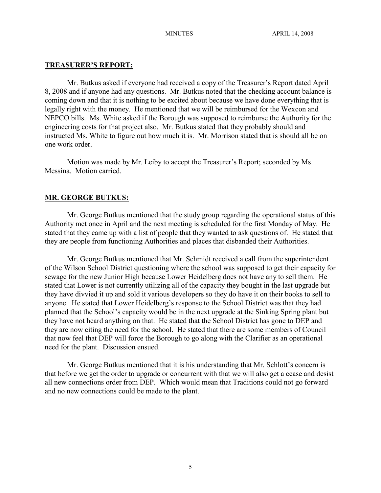### **TREASURER'S REPORT:**

Mr. Butkus asked if everyone had received a copy of the Treasurer's Report dated April 8, 2008 and if anyone had any questions. Mr. Butkus noted that the checking account balance is coming down and that it is nothing to be excited about because we have done everything that is legally right with the money. He mentioned that we will be reimbursed for the Wexcon and NEPCO bills. Ms. White asked if the Borough was supposed to reimburse the Authority for the engineering costs for that project also. Mr. Butkus stated that they probably should and instructed Ms. White to figure out how much it is. Mr. Morrison stated that is should all be on one work order.

Motion was made by Mr. Leiby to accept the Treasurer's Report; seconded by Ms. Messina. Motion carried.

#### **MR. GEORGE BUTKUS:**

Mr. George Butkus mentioned that the study group regarding the operational status of this Authority met once in April and the next meeting is scheduled for the first Monday of May. He stated that they came up with a list of people that they wanted to ask questions of. He stated that they are people from functioning Authorities and places that disbanded their Authorities.

Mr. George Butkus mentioned that Mr. Schmidt received a call from the superintendent of the Wilson School District questioning where the school was supposed to get their capacity for sewage for the new Junior High because Lower Heidelberg does not have any to sell them. He stated that Lower is not currently utilizing all of the capacity they bought in the last upgrade but they have divvied it up and sold it various developers so they do have it on their books to sell to anyone. He stated that Lower Heidelberg's response to the School District was that they had planned that the School's capacity would be in the next upgrade at the Sinking Spring plant but they have not heard anything on that. He stated that the School District has gone to DEP and they are now citing the need for the school. He stated that there are some members of Council that now feel that DEP will force the Borough to go along with the Clarifier as an operational need for the plant. Discussion ensued.

Mr. George Butkus mentioned that it is his understanding that Mr. Schlott's concern is that before we get the order to upgrade or concurrent with that we will also get a cease and desist all new connections order from DEP. Which would mean that Traditions could not go forward and no new connections could be made to the plant.